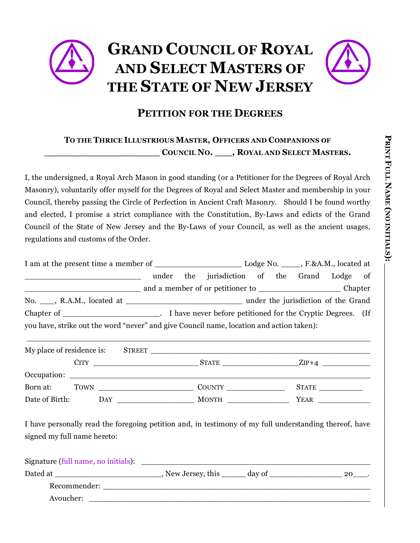## **GRAND COUNCIL OF ROYAL AND SELECT MASTERS OF THE STATE OF NEW JERSEY**



#### **PETITION FOR THE DEGREES**

#### **TO THE THRICE ILLUSTRIOUS MASTER, OFFICERS AND COMPANIONS OF \_\_\_\_\_\_\_\_\_\_\_\_\_\_\_\_\_\_\_\_ COUNCIL NO. \_\_\_, ROYAL AND SELECT MASTERS.**

I, the undersigned, a Royal Arch Mason in good standing (or a Petitioner for the Degrees of Royal Arch Masonry), voluntarily offer myself for the Degrees of Royal and Select Master and membership in your Council, thereby passing the Circle of Perfection in Ancient Craft Masonry. Should I be found worthy and elected, I promise a strict compliance with the Constitution, By-Laws and edicts of the Grand Council of the State of New Jersey and the By-Laws of your Council, as well as the ancient usages, regulations and customs of the Order.

|                                                                                          |       |  |                                                             |  | Lodge No. F.&A.M., located at |  |                                     |  |
|------------------------------------------------------------------------------------------|-------|--|-------------------------------------------------------------|--|-------------------------------|--|-------------------------------------|--|
|                                                                                          | under |  | the jurisdiction of the Grand Lodge of                      |  |                               |  |                                     |  |
|                                                                                          |       |  |                                                             |  |                               |  | Chapter                             |  |
| No. R.A.M., located at                                                                   |       |  |                                                             |  |                               |  | under the jurisdiction of the Grand |  |
|                                                                                          |       |  | I have never before petitioned for the Cryptic Degrees. (If |  |                               |  |                                     |  |
| you have, strike out the word "never" and give Council name, location and action taken): |       |  |                                                             |  |                               |  |                                     |  |

| My place of residence is: |             |                                                                            |                               |      |         |
|---------------------------|-------------|----------------------------------------------------------------------------|-------------------------------|------|---------|
|                           | <b>CITY</b> | the control of the control of the control of the control of the control of | <b>STATE</b>                  |      | $ZIP+4$ |
|                           |             |                                                                            |                               |      |         |
| Born at:                  | TOWN        |                                                                            | <b>COUNTY</b> SOLUTION COUNTY |      |         |
| Date of Birth:            |             | DAY                                                                        | <b>MONTH</b>                  | YEAR |         |

\_\_\_\_\_\_\_\_\_\_\_\_\_\_\_\_\_\_\_\_\_\_\_\_\_\_\_\_\_\_\_\_\_\_\_\_\_\_\_\_\_\_\_\_\_\_\_\_\_\_\_\_\_\_\_\_\_\_\_\_\_\_\_\_\_\_\_\_\_\_\_\_

I have personally read the foregoing petition and, in testimony of my full understanding thereof, have signed my full name hereto:

| Signature (full name, no initials): |                         |        |    |
|-------------------------------------|-------------------------|--------|----|
| Dated at                            | , New Jersey, this ____ | day of | 20 |
| Recommender:                        |                         |        |    |
| Avoucher:                           |                         |        |    |